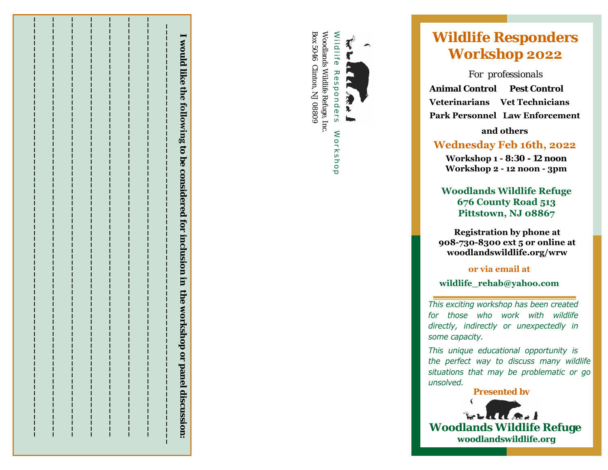



# **22**

**Park Personals**<br> **Animal Control Pest Control Veterinarians Vet Technicians**<br>
Park Personnel Law Enforcement<br> **Park Personnel Law Enforcement**<br> **Park Personnel Law Enforcement**<br> **Park Personnel Law Enforcement**<br> **Park Per** 

# **16th, <sup>20</sup>22**

 **Workshop 1 - 8:30 - 12 noon Workshop 2 - 12 noon - 3pm**

**Woodlands Wildlife Refuge676 County Road 513Pittstown, NJ 08867**

**Registration by phone at 908-730-8300 ext 5 or online at woodlandswildlife.org/wrw**

**or via email at**

**wildlife\_rehab@yahoo.com** 

*This exciting workshop has been created for those who work with wildlife directly, indirectly or unexpectedly in some capacity.* 

*This unique educational opportunity is the perfect way to discuss many wildlife situations that may be problematic or go unsolved.* 

**Presented by** 

**Woodlands Wildlife Refuge woodlandswildlife.org**